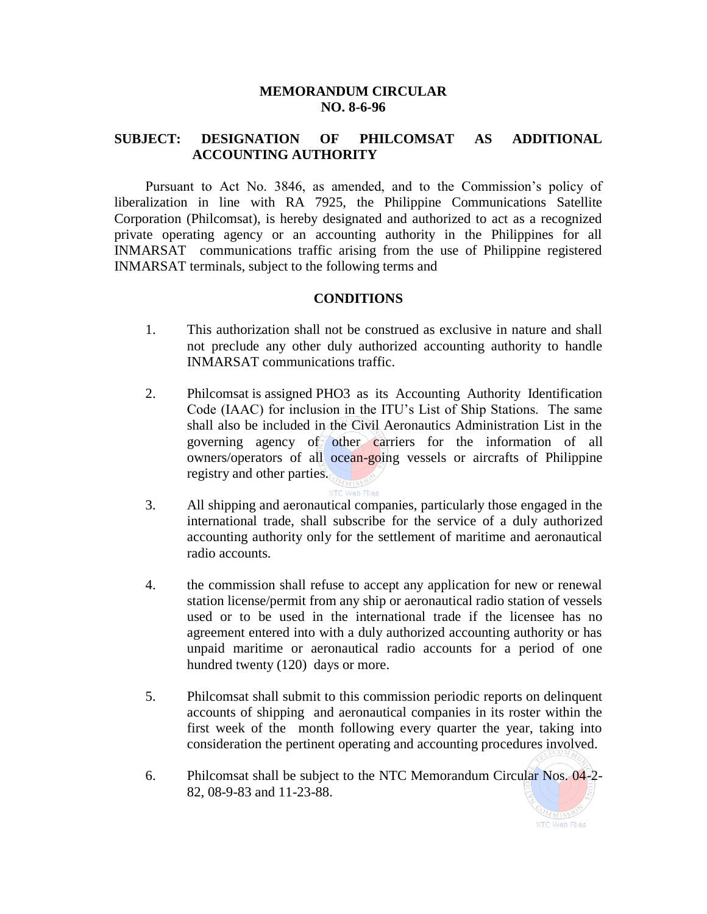## **MEMORANDUM CIRCULAR NO. 8-6-96**

## **SUBJECT: DESIGNATION OF PHILCOMSAT AS ADDITIONAL ACCOUNTING AUTHORITY**

Pursuant to Act No. 3846, as amended, and to the Commission's policy of liberalization in line with RA 7925, the Philippine Communications Satellite Corporation (Philcomsat), is hereby designated and authorized to act as a recognized private operating agency or an accounting authority in the Philippines for all INMARSAT communications traffic arising from the use of Philippine registered INMARSAT terminals, subject to the following terms and

## **CONDITIONS**

- 1. This authorization shall not be construed as exclusive in nature and shall not preclude any other duly authorized accounting authority to handle INMARSAT communications traffic.
- 2. Philcomsat is assigned PHO3 as its Accounting Authority Identification Code (IAAC) for inclusion in the ITU's List of Ship Stations. The same shall also be included in the Civil Aeronautics Administration List in the governing agency of other carriers for the information of all owners/operators of all ocean-going vessels or aircrafts of Philippine registry and other parties.
- 3. All shipping and aeronautical companies, particularly those engaged in the international trade, shall subscribe for the service of a duly authorized accounting authority only for the settlement of maritime and aeronautical radio accounts.
- 4. the commission shall refuse to accept any application for new or renewal station license/permit from any ship or aeronautical radio station of vessels used or to be used in the international trade if the licensee has no agreement entered into with a duly authorized accounting authority or has unpaid maritime or aeronautical radio accounts for a period of one hundred twenty (120) days or more.
- 5. Philcomsat shall submit to this commission periodic reports on delinquent accounts of shipping and aeronautical companies in its roster within the first week of the month following every quarter the year, taking into consideration the pertinent operating and accounting procedures involved.
- 6. Philcomsat shall be subject to the NTC Memorandum Circular Nos. 04-2- 82, 08-9-83 and 11-23-88.